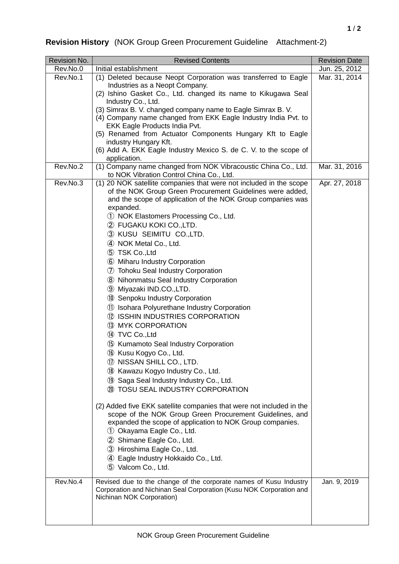## **Revision History** (NOK Group Green Procurement Guideline Attachment-2)

| Revision No. | <b>Revised Contents</b>                                                                                    | <b>Revision Date</b> |
|--------------|------------------------------------------------------------------------------------------------------------|----------------------|
| Rev.No.0     | Initial establishment                                                                                      | Jun. 25, 2012        |
| Rev.No.1     | (1) Deleted because Neopt Corporation was transferred to Eagle<br>Industries as a Neopt Company.           | Mar. 31, 2014        |
|              | (2) Ishino Gasket Co., Ltd. changed its name to Kikugawa Seal<br>Industry Co., Ltd.                        |                      |
|              | (3) Simrax B. V. changed company name to Eagle Simrax B. V.                                                |                      |
|              | (4) Company name changed from EKK Eagle Industry India Pvt. to<br>EKK Eagle Products India Pvt.            |                      |
|              | (5) Renamed from Actuator Components Hungary Kft to Eagle                                                  |                      |
|              | industry Hungary Kft.<br>(6) Add A. EKK Eagle Industry Mexico S. de C. V. to the scope of                  |                      |
|              | application.                                                                                               |                      |
| Rev.No.2     | (1) Company name changed from NOK Vibracoustic China Co., Ltd.<br>to NOK Vibration Control China Co., Ltd. | Mar. 31, 2016        |
| Rev.No.3     | (1) 20 NOK satellite companies that were not included in the scope                                         | Apr. 27, 2018        |
|              | of the NOK Group Green Procurement Guidelines were added,                                                  |                      |
|              | and the scope of application of the NOK Group companies was                                                |                      |
|              | expanded.<br>1 NOK Elastomers Processing Co., Ltd.                                                         |                      |
|              | 2 FUGAKU KOKI CO.,LTD.                                                                                     |                      |
|              | 3 KUSU SEIMITU CO.,LTD.                                                                                    |                      |
|              | 4 NOK Metal Co., Ltd.                                                                                      |                      |
|              | 5 TSK Co., Ltd                                                                                             |                      |
|              | 6 Miharu Industry Corporation                                                                              |                      |
|              | 7 Tohoku Seal Industry Corporation                                                                         |                      |
|              | 8 Nihonmatsu Seal Industry Corporation                                                                     |                      |
|              | 9 Miyazaki IND.CO.,LTD.                                                                                    |                      |
|              | 10 Senpoku Industry Corporation                                                                            |                      |
|              | 11 Isohara Polyurethane Industry Corporation                                                               |                      |
|              | 12 ISSHIN INDUSTRIES CORPORATION                                                                           |                      |
|              | 13 MYK CORPORATION                                                                                         |                      |
|              | 14 TVC Co., Ltd                                                                                            |                      |
|              | 15 Kumamoto Seal Industry Corporation                                                                      |                      |
|              | 16 Kusu Kogyo Co., Ltd.                                                                                    |                      |
|              | 17 NISSAN SHILL CO., LTD.                                                                                  |                      |
|              | 18 Kawazu Kogyo Industry Co., Ltd.                                                                         |                      |
|              | 19 Saga Seal Industry Industry Co., Ltd.                                                                   |                      |
|              | 20 TOSU SEAL INDUSTRY CORPORATION                                                                          |                      |
|              | (2) Added five EKK satellite companies that were not included in the                                       |                      |
|              | scope of the NOK Group Green Procurement Guidelines, and                                                   |                      |
|              | expanded the scope of application to NOK Group companies.<br>1 Okayama Eagle Co., Ltd.                     |                      |
|              | 2 Shimane Eagle Co., Ltd.                                                                                  |                      |
|              | 3 Hiroshima Eagle Co., Ltd.                                                                                |                      |
|              | 4 Eagle Industry Hokkaido Co., Ltd.                                                                        |                      |
|              | 5 Valcom Co., Ltd.                                                                                         |                      |
| Rev.No.4     | Revised due to the change of the corporate names of Kusu Industry                                          | Jan. 9, 2019         |
|              | Corporation and Nichinan Seal Corporation (Kusu NOK Corporation and                                        |                      |
|              | Nichinan NOK Corporation)                                                                                  |                      |
|              |                                                                                                            |                      |
|              |                                                                                                            |                      |